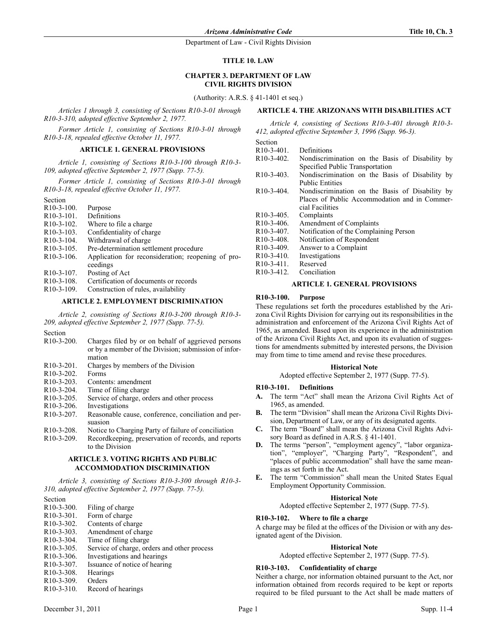### TITLE 10. LAW

### **CHAPTER 3. DEPARTMENT OF LAW** CIVIL RIGHTS DIVISIO

(Authority: A.R.S. § 41-1401 et seq.)

Articles 1 through 3, consisting of Sections R10-3-01 through R10-3-310, adopted effective September 2, 1977.

Former Article 1, consisting of Sections R10-3-01 through R10-3-18, repealed effective October 11, 1977.

### ARTICLE 1. GENERAL PROVISIONS

Article 1, consisting of Sections R10-3-100 through R10-3- 109, adopted effective September 2, 1977 (Supp. 77-5).

Former Article 1, consisting of Sections R10-3-01 through R10-3-18, repealed effective October 11, 1977.

Section

| ovvuon     |                                                                |
|------------|----------------------------------------------------------------|
| R10-3-100. | Purpose                                                        |
| R10-3-101. | Definitions                                                    |
| R10-3-102. | Where to file a charge.                                        |
| R10-3-103. | Confidentiality of charge                                      |
| R10-3-104. | Withdrawal of charge                                           |
| R10-3-105. | Pre-determination settlement procedure                         |
| R10-3-106. | Application for reconsideration; reopening of pro-<br>ceedings |
|            |                                                                |
| R10-3-107. | Posting of Act                                                 |
| R10-3-108. | Certification of documents or records                          |
| R10-3-109. | Construction of rules, availability                            |
|            |                                                                |

# ARTICLE 2. EMPLOYMENT DISCRIMINATION

Article 2, consisting of Sections R10-3-200 through R10-3- 209, adopted effective September 2, 1977 (Supp. 77-5).

Section

| $R10-3-200$ .                       | Charges filed by or on behalf of aggrieved persons   |  |
|-------------------------------------|------------------------------------------------------|--|
|                                     | or by a member of the Division; submission of infor- |  |
|                                     | mation                                               |  |
| $R10-3-201$ .                       | Charges by members of the Division                   |  |
| $R10-3-202$ .                       | Forms                                                |  |
| $R10-3-203$ .                       | Contents: amendment                                  |  |
| $R10-3-204$ .                       | Time of filing charge                                |  |
| $R10-3-205$ .                       | Service of charge, orders and other process          |  |
| R <sub>10</sub> -3-206.             | Investigations                                       |  |
| R <sub>10</sub> -3-207.             | Reasonable cause, conference, conciliation and per-  |  |
|                                     | suasion                                              |  |
| $R10-3-208$ .                       | Notice to Charging Party of failure of conciliation  |  |
| $R10-3-209$ .                       | Recordkeeping, preservation of records, and reports  |  |
|                                     | to the Division                                      |  |
| ARTICLE 3. VOTING RIGHTS AND PUBLIC |                                                      |  |
|                                     |                                                      |  |

# **ACCOMMODATION DISCRIMINATION**

Article 3, consisting of Sections R10-3-300 through R10-3- 310, adopted effective September 2, 1977 (Supp. 77-5).

- Section<br> $R10-3-300$ . Filing of charge R10-3-301. Form of charge<br>R10-3-302. Contents of cha R10-3-302. Contents of charge<br>R10-3-303. Amendment of cha R10-3-303. Amendment of charge<br>R10-3-304. Time of filing charge Time of filing charge R10-3-305. Service of charge, orders and other process<br>R10-3-306. Investigations and hearings R10-3-306. Investigations and hearings<br>R10-3-307. Issuance of notice of hearin Issuance of notice of hearing
- R10-3-308. Hearings
- R10-3-309. Orders
- R10-3-310. Record of hearings

# ARTICLE 4. THE ARIZONANS WITH DISABILITIES ACT

Article 4, consisting of Sections R10-3-401 through R10-3- 412, adopted effective September 3, 1996 (Supp. 96-3).

| Section                                                                       |                                                 |  |
|-------------------------------------------------------------------------------|-------------------------------------------------|--|
| $R10-3-401$ .                                                                 | Definitions                                     |  |
| $R10-3-402$ .                                                                 | Nondiscrimination on the Basis of Disability by |  |
|                                                                               | Specified Public Transportation                 |  |
| $R10-3-403$ .                                                                 | Nondiscrimination on the Basis of Disability by |  |
|                                                                               | <b>Public Entities</b>                          |  |
| $R10-3-404$ .                                                                 | Nondiscrimination on the Basis of Disability by |  |
|                                                                               | Places of Public Accommodation and in Commer-   |  |
|                                                                               | cial Facilities                                 |  |
| $R10-3-405$ .                                                                 | Complaints                                      |  |
| $R10-3-406$ .                                                                 | Amendment of Complaints                         |  |
| R <sub>10</sub> -3-407.                                                       | Notification of the Complaining Person          |  |
| $R10-3-408$ .                                                                 | Notification of Respondent                      |  |
| $R10-3-409$ .                                                                 | Answer to a Complaint                           |  |
| $R10-3-410$ .                                                                 | Investigations                                  |  |
| $R10-3-411$ .                                                                 | Reserved                                        |  |
| $R10-3-412$ .                                                                 | Conciliation                                    |  |
| $\alpha$ primary $\alpha$ is the $\alpha$ in $\alpha$ is $\alpha$ in $\alpha$ |                                                 |  |

# **ARTICLE 1. GENERAL PROVISIONS**

### R10-3-100. Purpose

These regulations set forth the procedures established by the Arizona Civil Rights Division for carrying out its responsibilities in the administration and enforcement of the Arizona Civil Rights Act of 1965, as amended. Based upon its experience in the administration of the Arizona Civil Rights Act, and upon its evaluation of suggestions for amendments submitted by interested persons, the Division may from time to time amend and revise these procedures.

#### **Historical Note**

Adopted effective September 2, 1977 (Supp. 77-5).

### R10-3-101. Definitions

- A. The term "Act" shall mean the Arizona Civil Rights Act of 1965, as amended.
- B. The term "Division" shall mean the Arizona Civil Rights Division, Department of Law, or any of its designated agents.
- C. The term "Board" shall mean the Arizona Civil Rights Advisory Board as defined in A.R.S. § 41-1401.
- D. The terms "person", "employment agency", "labor organization", "employer", "Charging Party", "Respondent", and "places of public accommodation" shall have the same meanings as set forth in the Act.
- E. The term "Commission" shall mean the United States Equal Employment Opportunity Commission.

#### **Historical Note**

Adopted effective September 2, 1977 (Supp. 77-5).

### R10-3-102. Where to file a charge

A charge may be filed at the offices of the Division or with any designated agent of the Division.

### **Historical Note**

Adopted effective September 2, 1977 (Supp. 77-5).

### R10-3-103. Confidentiality of charge

Neither a charge, nor information obtained pursuant to the Act, nor information obtained from records required to be kept or reports required to be filed pursuant to the Act shall be made matters of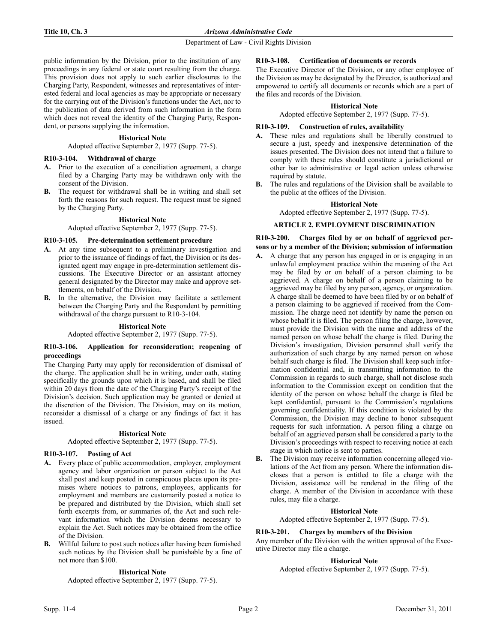public information by the Division, prior to the institution of any proceedings in any federal or state court resulting from the charge. This provision does not apply to such earlier disclosures to the Charging Party, Respondent, witnesses and representatives of interested federal and local agencies as may be appropriate or necessary for the carrying out of the Division's functions under the Act, nor to the publication of data derived from such information in the form which does not reveal the identity of the Charging Party, Respondent, or persons supplying the information.

### **Historical Note**

Adopted effective September 2, 1977 (Supp. 77-5).

### R10-3-104. Withdrawal of charge

- A. Prior to the execution of a conciliation agreement, a charge filed by a Charging Party may be withdrawn only with the consent of the Division.
- B. The request for withdrawal shall be in writing and shall set forth the reasons for such request. The request must be signed by the Charging Party.

### **Historical Note**

Adopted effective September 2, 1977 (Supp. 77-5).

### R10-3-105. Pre-determination settlement procedure

- A. At any time subsequent to a preliminary investigation and prior to the issuance of findings of fact, the Division or its designated agent may engage in pre-determination settlement discussions. The Executive Director or an assistant attorney general designated by the Director may make and approve settlements, on behalf of the Division.
- B. In the alternative, the Division may facilitate a settlement between the Charging Party and the Respondent by permitting withdrawal of the charge pursuant to R10-3-104.

### **Historical Note**

Adopted effective September 2, 1977 (Supp. 77-5).

### R10-3-106. Application for reconsideration; reopening of proceedings

The Charging Party may apply for reconsideration of dismissal of the charge. The application shall be in writing, under oath, stating specifically the grounds upon which it is based, and shall be filed within 20 days from the date of the Charging Party's receipt of the Division's decision. Such application may be granted or denied at the discretion of the Division. The Division, may on its motion, reconsider a dismissal of a charge or any findings of fact it has issued.

### **Historical Note**

Adopted effective September 2, 1977 (Supp. 77-5).

### R10-3-107. Posting of Act

- A. Every place of public accommodation, employer, employment agency and labor organization or person subject to the Act shall post and keep posted in conspicuous places upon its premises where notices to patrons, employees, applicants for employment and members are customarily posted a notice to be prepared and distributed by the Division, which shall set forth excerpts from, or summaries of, the Act and such relevant information which the Division deems necessary to explain the Act. Such notices may be obtained from the office of the Division.
- Willful failure to post such notices after having been furnished such notices by the Division shall be punishable by a fine of not more than \$100.

### **Historical Note**

Adopted effective September 2, 1977 (Supp. 77-5).

### R10-3-108. Certification of documents or records

The Executive Director of the Division, or any other employee of the Division as may be designated by the Director, is authorized and empowered to certify all documents or records which are a part of the files and records of the Division.

### **Historical Note**

Adopted effective September 2, 1977 (Supp. 77-5).

# R10-3-109. Construction of rules, availability

- A. These rules and regulations shall be liberally construed to secure a just, speedy and inexpensive determination of the issues presented. The Division does not intend that a failure to comply with these rules should constitute a jurisdictional or other bar to administrative or legal action unless otherwise required by statute.
- B. The rules and regulations of the Division shall be available to the public at the offices of the Division.

### **Historical Note**

Adopted effective September 2, 1977 (Supp. 77-5).

### ARTICLE 2. EMPLOYMENT DISCRIMINATION

R10-3-200. Charges filed by or on behalf of aggrieved persons or by a member of the Division; submission of information

- A. A charge that any person has engaged in or is engaging in an unlawful employment practice within the meaning of the Act may be filed by or on behalf of a person claiming to be aggrieved. A charge on behalf of a person claiming to be aggrieved may be filed by any person, agency, or organization. A charge shall be deemed to have been filed by or on behalf of a person claiming to be aggrieved if received from the Commission. The charge need not identify by name the person on whose behalf it is filed. The person filing the charge, however, must provide the Division with the name and address of the named person on whose behalf the charge is filed. During the Division's investigation, Division personnel shall verify the authorization of such charge by any named person on whose behalf such charge is filed. The Division shall keep such information confidential and, in transmitting information to the Commission in regards to such charge, shall not disclose such information to the Commission except on condition that the identity of the person on whose behalf the charge is filed be kept confidential, pursuant to the Commission's regulations governing confidentiality. If this condition is violated by the Commission, the Division may decline to honor subsequent requests for such information. A person filing a charge on behalf of an aggrieved person shall be considered a party to the Division's proceedings with respect to receiving notice at each stage in which notice is sent to parties.
- The Division may receive information concerning alleged violations of the Act from any person. Where the information discloses that a person is entitled to file a charge with the Division, assistance will be rendered in the filing of the charge. A member of the Division in accordance with these rules, may file a charge.

### **Historical Note**

Adopted effective September 2, 1977 (Supp. 77-5).

### R10-3-201. Charges by members of the Division

Any member of the Division with the written approval of the Executive Director may file a charge.

### **Historical Note**

Adopted effective September 2, 1977 (Supp. 77-5).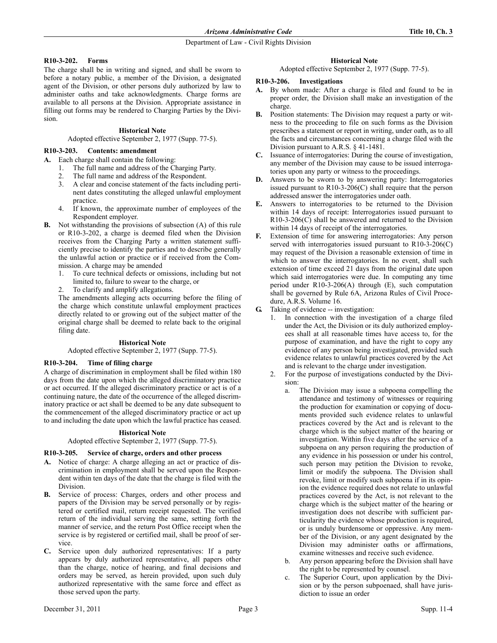# R10-3-202. Forms

The charge shall be in writing and signed, and shall be sworn to before a notary public, a member of the Division, a designated agent of the Division, or other persons duly authorized by law to administer oaths and take acknowledgments. Charge forms are available to all persons at the Division. Appropriate assistance in filling out forms may be rendered to Charging Parties by the Division.

# **Historical Note**

Adopted effective September 2, 1977 (Supp. 77-5).

# R10-3-203. Contents: amendment

A. Each charge shall contain the following:

- 1. The full name and address of the Charging Party.
- 2. The full name and address of the Respondent.
- 3. A clear and concise statement of the facts including pertinent dates constituting the alleged unlawful employment practice.
- 4. If known, the approximate number of employees of the Respondent employer.
- B. Not withstanding the provisions of subsection (A) of this rule or R10-3-202, a charge is deemed filed when the Division receives from the Charging Party a written statement sufficiently precise to identify the parties and to describe generally the unlawful action or practice or if received from the Commission. A charge may be amended
	- 1. To cure technical defects or omissions, including but not limited to, failure to swear to the charge, or
	- 2. To clarify and amplify allegations.

The amendments alleging acts occurring before the filing of the charge which constitute unlawful employment practices directly related to or growing out of the subject matter of the original charge shall be deemed to relate back to the original filing date.

# **Historical Note**

Adopted effective September 2, 1977 (Supp. 77-5).

# R10-3-204. Time of filing charge

A charge of discrimination in employment shall be filed within 180 days from the date upon which the alleged discriminatory practice or act occurred. If the alleged discriminatory practice or act is of a continuing nature, the date of the occurrence of the alleged discriminatory practice or act shall be deemed to be any date subsequent to the commencement of the alleged discriminatory practice or act up to and including the date upon which the lawful practice has ceased.

# **Historical Note**

Adopted effective September 2, 1977 (Supp. 77-5).

### R10-3-205. Service of charge, orders and other process

- A. Notice of charge: A charge alleging an act or practice of discrimination in employment shall be served upon the Respondent within ten days of the date that the charge is filed with the Division.
- B. Service of process: Charges, orders and other process and papers of the Division may be served personally or by registered or certified mail, return receipt requested. The verified return of the individual serving the same, setting forth the manner of service, and the return Post Office receipt when the service is by registered or certified mail, shall be proof of service.
- C. Service upon duly authorized representatives: If a party appears by duly authorized representative, all papers other than the charge, notice of hearing, and final decisions and orders may be served, as herein provided, upon such duly authorized representative with the same force and effect as those served upon the party.

# **Historical Note**

Adopted effective September 2, 1977 (Supp. 77-5).

# R10-3-206. Investigations

- A. By whom made: After a charge is filed and found to be in proper order, the Division shall make an investigation of the charge.
- B. Position statements: The Division may request a party or witness to the proceeding to file on such forms as the Division prescribes a statement or report in writing, under oath, as to all the facts and circumstances concerning a charge filed with the Division pursuant to A.R.S. § 41-1481.
- C. Issuance of interrogatories: During the course of investigation, any member of the Division may cause to be issued interrogatories upon any party or witness to the proceedings.
- D. Answers to be sworn to by answering party: Interrogatories issued pursuant to R10-3-206(C) shall require that the person addressed answer the interrogatories under oath.
- E. Answers to interrogatories to be returned to the Division within 14 days of receipt: Interrogatories issued pursuant to R10-3-206(C) shall be answered and returned to the Division within 14 days of receipt of the interrogatories.
- F. Extension of time for answering interrogatories: Any person served with interrogatories issued pursuant to R10-3-206(C) may request of the Division a reasonable extension of time in which to answer the interrogatories. In no event, shall such extension of time exceed 21 days from the original date upon which said interrogatories were due. In computing any time period under R10-3-206(A) through (E), such computation shall be governed by Rule 6A, Arizona Rules of Civil Procedure, A.R.S. Volume 16.
- G. Taking of evidence -- investigation:
	- 1. In connection with the investigation of a charge filed under the Act, the Division or its duly authorized employees shall at all reasonable times have access to, for the purpose of examination, and have the right to copy any evidence of any person being investigated, provided such evidence relates to unlawful practices covered by the Act and is relevant to the charge under investigation.
	- 2. For the purpose of investigations conducted by the Division:
		- a. The Division may issue a subpoena compelling the attendance and testimony of witnesses or requiring the production for examination or copying of documents provided such evidence relates to unlawful practices covered by the Act and is relevant to the charge which is the subject matter of the hearing or investigation. Within five days after the service of a subpoena on any person requiring the production of any evidence in his possession or under his control, such person may petition the Division to revoke, limit or modify the subpoena. The Division shall revoke, limit or modify such subpoena if in its opinion the evidence required does not relate to unlawful practices covered by the Act, is not relevant to the charge which is the subject matter of the hearing or investigation does not describe with sufficient particularity the evidence whose production is required, or is unduly burdensome or oppressive. Any member of the Division, or any agent designated by the Division may administer oaths or affirmations, examine witnesses and receive such evidence.
		- b. Any person appearing before the Division shall have the right to be represented by counsel.
		- c. The Superior Court, upon application by the Division or by the person subpoenaed, shall have jurisdiction to issue an order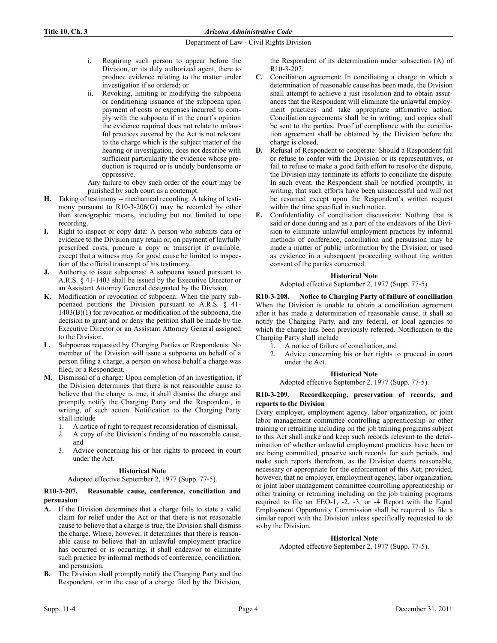- i. Requiring such person to appear before the Division, or its duly authorized agent, there to produce evidence relating to the matter under investigation if so ordered; or
- ii. Revoking, limiting or modifying the subpoena or conditioning issuance of the subpoena upon payment of costs or expenses incurred to comply with the subpoena if in the court's opinion the evidence required does not relate to unlawful practices covered by the Act is not relevant to the charge which is the subject matter of the hearing or investigation, does not describe with sufficient particularity the evidence whose production is required or is unduly burdensome or oppressive.

Any failure to obey such order of the court may be punished by such court as a contempt.

- H. Taking of testimony -- mechanical recording: A taking of testimony pursuant to R10-3-206(G) may be recorded by other than stenographic means, including but not limited to tape recording.
- I. Right to inspect or copy data: A person who submits data or evidence to the Division may retain or, on payment of lawfully prescribed costs, procure a copy or transcript if available, except that a witness may for good cause be limited to inspection of the official transcript of his testimony.
- Authority to issue subpoenas: A subpoena issued pursuant to A.R.S. § 41-1403 shall be issued by the Executive Director or an Assistant Attorney General designated by the Division.
- K. Modification or revocation of subpoena: When the party subpoenaed petitions the Division pursuant to A.R.S. § 41- 1403(B)(1) for revocation or modification of the subpoena, the decision to grant and or deny the petition shall be made by the Executive Director or an Assistant Attorney General assigned to the Division.
- L. Subpoenas requested by Charging Parties or Respondents: No member of the Division will issue a subpoena on behalf of a person filing a charge, a person on whose behalf a charge was filed, or a Respondent.
- M. Dismissal of a charge: Upon completion of an investigation, if the Division determines that there is not reasonable cause to believe that the charge is true, it shall dismiss the charge and promptly notify the Charging Party and the Respondent, in writing, of such action. Notification to the Charging Party shall include
	- 1. A notice of right to request reconsideration of dismissal,
	- 2. A copy of the Division's finding of no reasonable cause, and
	- 3. Advice concerning his or her rights to proceed in court under the Act.

# **Historical Note**

# Adopted effective September 2, 1977 (Supp. 77-5).

# R10-3-207. Reasonable cause, conference, conciliation and persuasion

- A. If the Division determines that a charge fails to state a valid claim for relief under the Act or that there is not reasonable cause to believe that a charge is true, the Division shall dismiss the charge. Where, however, it determines that there is reasonable cause to believe that an unlawful employment practice has occurred or is occurring, it shall endeavor to eliminate such practice by informal methods of conference, conciliation, and persuasion.
- B. The Division shall promptly notify the Charging Party and the Respondent, or in the case of a charge filed by the Division,

the Respondent of its determination under subsection (A) of R10-3-207.

- C. Conciliation agreement: In conciliating a charge in which a determination of reasonable cause has been made, the Division shall attempt to achieve a just resolution and to obtain assurances that the Respondent will eliminate the unlawful employment practices and take appropriate affirmative action. Conciliation agreements shall be in writing, and copies shall be sent to the parties. Proof of compliance with the conciliation agreement shall be obtained by the Division before the charge is closed.
- D. Refusal of Respondent to cooperate: Should a Respondent fail or refuse to confer with the Division or its representatives, or fail to refuse to make a good faith effort to resolve the dispute, the Division may terminate its efforts to conciliate the dispute. In such event, the Respondent shall be notified promptly, in writing, that such efforts have been unsuccessful and will not be resumed except upon the Respondent's written request within the time specified in such notice.
- E. Confidentiality of conciliation discussions: Nothing that is said or done during and as a part of the endeavors of the Division to eliminate unlawful employment practices by informal methods of conference, conciliation and persuasion may be made a matter of public information by the Division, or used as evidence in a subsequent proceeding without the written consent of the parties concerned.

# **Historical Note**

Adopted effective September 2, 1977 (Supp. 77-5).

R10-3-208. Notice to Charging Party of failure of conciliation When the Division is unable to obtain a conciliation agreement after it has made a determination of reasonable cause, it shall so notify the Charging Party, and any federal, or local agencies to which the charge has been previously referred. Notification to the Charging Party shall include

- 1. A notice of failure of conciliation, and
- 2. Advice concerning his or her rights to proceed in court under the Act.

# **Historical Note**

### Adopted effective September 2, 1977 (Supp. 77-5).

# R10-3-209. Recordkeeping, preservation of records, and reports to the Division

Every employer, employment agency, labor organization, or joint labor management committee controlling apprenticeship or other training or retraining including on the job training programs subject to this Act shall make and keep such records relevant to the determination of whether unlawful employment practices have been or are being committed, preserve such records for such periods, and make such reports therefrom, as the Division deems reasonable, necessary or appropriate for the enforcement of this Act; provided, however, that no employer, employment agency, labor organization, or joint labor management committee controlling apprenticeship or other training or retraining including on the job training programs required to file an EEO-1, -2, -3, or -4 Report with the Equal Employment Opportunity Commission shall be required to file a similar report with the Division unless specifically requested to do so by the Division.

# **Historical Note**

Adopted effective September 2, 1977 (Supp. 77-5).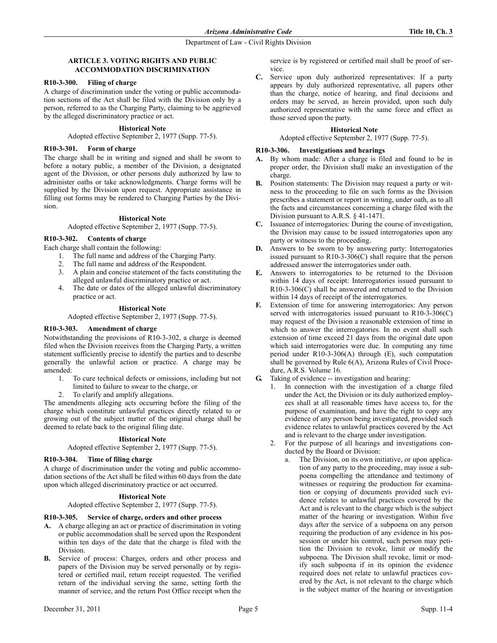# ARTICLE 3. VOTING RIGHTS AND PUBLIC ACCOMMODATION DISCRIMINATION

# R10-3-300. Filing of charge

A charge of discrimination under the voting or public accommodation sections of the Act shall be filed with the Division only by a person, referred to as the Charging Party, claiming to be aggrieved by the alleged discriminatory practice or act.

# **Historical Note**

Adopted effective September 2, 1977 (Supp. 77-5).

# R10-3-301. Form of charge

The charge shall be in writing and signed and shall be sworn to before a notary public, a member of the Division, a designated agent of the Division, or other persons duly authorized by law to administer oaths or take acknowledgments. Charge forms will be supplied by the Division upon request. Appropriate assistance in filling out forms may be rendered to Charging Parties by the Division.

# **Historical Note**

Adopted effective September 2, 1977 (Supp. 77-5).

# R10-3-302. Contents of charge

- Each charge shall contain the following:
	- 1. The full name and address of the Charging Party.
	- 2. The full name and address of the Respondent.
	- 3. A plain and concise statement of the facts constituting the alleged unlawful discriminatory practice or act.
	- 4. The date or dates of the alleged unlawful discriminatory practice or act.

### **Historical Note**

Adopted effective September 2, 1977 (Supp. 77-5).

# R10-3-303. Amendment of charge

Notwithstanding the provisions of R10-3-302, a charge is deemed filed when the Division receives from the Charging Party, a written statement sufficiently precise to identify the parties and to describe generally the unlawful action or practice. A charge may be amended:

- 1. To cure technical defects or omissions, including but not limited to failure to swear to the charge, or
- 2. To clarify and amplify allegations.

The amendments alleging acts occurring before the filing of the charge which constitute unlawful practices directly related to or growing out of the subject matter of the original charge shall be deemed to relate back to the original filing date.

### **Historical Note**

Adopted effective September 2, 1977 (Supp. 77-5).

### R10-3-304. Time of filing charge

A charge of discrimination under the voting and public accommodation sections of the Act shall be filed within 60 days from the date upon which alleged discriminatory practice or act occurred.

### **Historical Note**

Adopted effective September 2, 1977 (Supp. 77-5).

# R10-3-305. Service of charge, orders and other process

- A. A charge alleging an act or practice of discrimination in voting or public accommodation shall be served upon the Respondent within ten days of the date that the charge is filed with the Division.
- B. Service of process: Charges, orders and other process and papers of the Division may be served personally or by registered or certified mail, return receipt requested. The verified return of the individual serving the same, setting forth the manner of service, and the return Post Office receipt when the

service is by registered or certified mail shall be proof of service.

C. Service upon duly authorized representatives: If a party appears by duly authorized representative, all papers other than the charge, notice of hearing, and final decisions and orders may be served, as herein provided, upon such duly authorized representative with the same force and effect as those served upon the party.

### **Historical Note**

Adopted effective September 2, 1977 (Supp. 77-5).

# R10-3-306. Investigations and hearings

- A. By whom made: After a charge is filed and found to be in proper order, the Division shall make an investigation of the charge.
- B. Position statements: The Division may request a party or witness to the proceeding to file on such forms as the Division prescribes a statement or report in writing, under oath, as to all the facts and circumstances concerning a charge filed with the Division pursuant to A.R.S. § 41-1471.
- C. Issuance of interrogatories: During the course of investigation, the Division may cause to be issued interrogatories upon any party or witness to the proceeding.
- D. Answers to be sworn to by answering party: Interrogatories issued pursuant to R10-3-306(C) shall require that the person addressed answer the interrogatories under oath.
- E. Answers to interrogatories to be returned to the Division within 14 days of receipt: Interrogatories issued pursuant to R10-3-306(C) shall be answered and returned to the Division within 14 days of receipt of the interrogatories.
- F. Extension of time for answering interrogatories: Any person served with interrogatories issued pursuant to R10-3-306(C) may request of the Division a reasonable extension of time in which to answer the interrogatories. In no event shall such extension of time exceed 21 days from the original date upon which said interrogatories were due. In computing any time period under R10-3-306(A) through (E), such computation shall be governed by Rule 6(A), Arizona Rules of Civil Procedure, A.R.S. Volume 16.
- G. Taking of evidence -- investigation and hearing:
	- 1. In connection with the investigation of a charge filed under the Act, the Division or its duly authorized employees shall at all reasonable times have access to, for the purpose of examination, and have the right to copy any evidence of any person being investigated, provided such evidence relates to unlawful practices covered by the Act and is relevant to the charge under investigation.
	- 2. For the purpose of all hearings and investigations conducted by the Board or Division:
		- a. The Division, on its own initiative, or upon application of any party to the proceeding, may issue a subpoena compelling the attendance and testimony of witnesses or requiring the production for examination or copying of documents provided such evidence relates to unlawful practices covered by the Act and is relevant to the charge which is the subject matter of the hearing or investigation. Within five days after the service of a subpoena on any person requiring the production of any evidence in his possession or under his control, such person may petition the Division to revoke, limit or modify the subpoena. The Division shall revoke, limit or modify such subpoena if in its opinion the evidence required does not relate to unlawful practices covered by the Act, is not relevant to the charge which is the subject matter of the hearing or investigation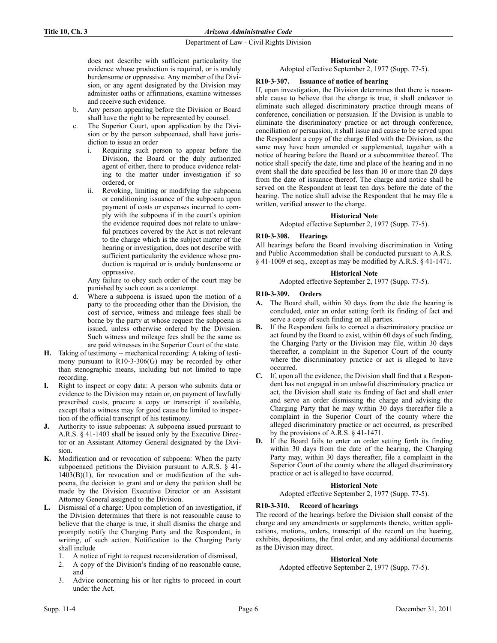# Title 10, Ch. 3 Arizona Administrative Code

Department of Law - Civil Rights Division

does not describe with sufficient particularity the evidence whose production is required, or is unduly burdensome or oppressive. Any member of the Division, or any agent designated by the Division may administer oaths or affirmations, examine witnesses and receive such evidence.

- b. Any person appearing before the Division or Board shall have the right to be represented by counsel.
- The Superior Court, upon application by the Division or by the person subpoenaed, shall have jurisdiction to issue an order
	- i. Requiring such person to appear before the Division, the Board or the duly authorized agent of either, there to produce evidence relating to the matter under investigation if so ordered, or
	- ii. Revoking, limiting or modifying the subpoena or conditioning issuance of the subpoena upon payment of costs or expenses incurred to comply with the subpoena if in the court's opinion the evidence required does not relate to unlawful practices covered by the Act is not relevant to the charge which is the subject matter of the hearing or investigation, does not describe with sufficient particularity the evidence whose production is required or is unduly burdensome or oppressive.

Any failure to obey such order of the court may be punished by such court as a contempt.

- d. Where a subpoena is issued upon the motion of a party to the proceeding other than the Division, the cost of service, witness and mileage fees shall be borne by the party at whose request the subpoena is issued, unless otherwise ordered by the Division. Such witness and mileage fees shall be the same as are paid witnesses in the Superior Court of the state.
- H. Taking of testimony -- mechanical recording: A taking of testimony pursuant to R10-3-306(G) may be recorded by other than stenographic means, including but not limited to tape recording.
- I. Right to inspect or copy data: A person who submits data or evidence to the Division may retain or, on payment of lawfully prescribed costs, procure a copy or transcript if available, except that a witness may for good cause be limited to inspection of the official transcript of his testimony.
- Authority to issue subpoenas: A subpoena issued pursuant to A.R.S. § 41-1403 shall be issued only by the Executive Director or an Assistant Attorney General designated by the Division.
- K. Modification and or revocation of subpoena: When the party subpoenaed petitions the Division pursuant to A.R.S. § 41-  $1403(B)(1)$ , for revocation and or modification of the subpoena, the decision to grant and or deny the petition shall be made by the Division Executive Director or an Assistant Attorney General assigned to the Division.
- L. Dismissal of a charge: Upon completion of an investigation, if the Division determines that there is not reasonable cause to believe that the charge is true, it shall dismiss the charge and promptly notify the Charging Party and the Respondent, in writing, of such action. Notification to the Charging Party shall include
	- 1. A notice of right to request reconsideration of dismissal,
	- 2. A copy of the Division's finding of no reasonable cause, and
	- 3. Advice concerning his or her rights to proceed in court under the Act.

# **Historical Note**

Adopted effective September 2, 1977 (Supp. 77-5).

# R10-3-307. Issuance of notice of hearing

If, upon investigation, the Division determines that there is reasonable cause to believe that the charge is true, it shall endeavor to eliminate such alleged discriminatory practice through means of conference, conciliation or persuasion. If the Division is unable to eliminate the discriminatory practice or act through conference, conciliation or persuasion, it shall issue and cause to be served upon the Respondent a copy of the charge filed with the Division, as the same may have been amended or supplemented, together with a notice of hearing before the Board or a subcommittee thereof. The notice shall specify the date, time and place of the hearing and in no event shall the date specified be less than 10 or more than 20 days from the date of issuance thereof. The charge and notice shall be served on the Respondent at least ten days before the date of the hearing. The notice shall advise the Respondent that he may file a written, verified answer to the charge.

# **Historical Note**

Adopted effective September 2, 1977 (Supp. 77-5).

# R10-3-308. Hearings

All hearings before the Board involving discrimination in Voting and Public Accommodation shall be conducted pursuant to A.R.S. § 41-1009 et seq., except as may be modified by A.R.S. § 41-1471.

# **Historical Note**

Adopted effective September 2, 1977 (Supp. 77-5).

# R10-3-309. Orders

- A. The Board shall, within 30 days from the date the hearing is concluded, enter an order setting forth its finding of fact and serve a copy of such finding on all parties.
- B. If the Respondent fails to correct a discriminatory practice or act found by the Board to exist, within 60 days of such finding, the Charging Party or the Division may file, within 30 days thereafter, a complaint in the Superior Court of the county where the discriminatory practice or act is alleged to have occurred.
- C. If, upon all the evidence, the Division shall find that a Respondent has not engaged in an unlawful discriminatory practice or act, the Division shall state its finding of fact and shall enter and serve an order dismissing the charge and advising the Charging Party that he may within 30 days thereafter file a complaint in the Superior Court of the county where the alleged discriminatory practice or act occurred, as prescribed by the provisions of A.R.S. § 41-1471.
- D. If the Board fails to enter an order setting forth its finding within 30 days from the date of the hearing, the Charging Party may, within 30 days thereafter, file a complaint in the Superior Court of the county where the alleged discriminatory practice or act is alleged to have occurred.

# **Historical Note**

Adopted effective September 2, 1977 (Supp. 77-5).

# R10-3-310. Record of hearings

The record of the hearings before the Division shall consist of the charge and any amendments or supplements thereto, written applications, motions, orders, transcript of the record on the hearing, exhibits, depositions, the final order, and any additional documents as the Division may direct.

### **Historical Note**

Adopted effective September 2, 1977 (Supp. 77-5).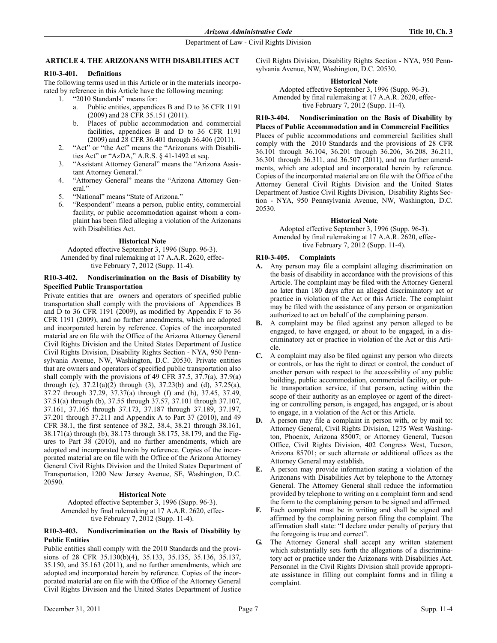# ARTICLE 4. THE ARIZONANS WITH DISABILITIES ACT

### R10-3-401. Definitions

The following terms used in this Article or in the materials incorporated by reference in this Article have the following meaning:

- 1. "2010 Standards" means for:
	- a. Public entities, appendices B and D to 36 CFR 1191 (2009) and 28 CFR 35.151 (2011).
	- b. Places of public accommodation and commercial facilities, appendices B and D to 36 CFR 1191 (2009) and 28 CFR 36.401 through 36.406 (2011).
- 2. "Act" or "the Act" means the "Arizonans with Disabilities Act" or "AzDA," A.R.S. § 41-1492 et seq.
- 3. "Assistant Attorney General" means the "Arizona Assistant Attorney General."
- 4. "Attorney General" means the "Arizona Attorney General."
- 5. "National" means "State of Arizona."
- 6. "Respondent" means a person, public entity, commercial facility, or public accommodation against whom a complaint has been filed alleging a violation of the Arizonans with Disabilities Act.

### **Historical Note**

Adopted effective September 3, 1996 (Supp. 96-3). Amended by final rulemaking at 17 A.A.R. 2620, effective February 7, 2012 (Supp. 11-4).

# R10-3-402. Nondiscrimination on the Basis of Disability by Specified Public Transportation

Private entities that are owners and operators of specified public transportation shall comply with the provisions of Appendices B and D to 36 CFR 1191 (2009), as modified by Appendix F to 36 CFR 1191 (2009), and no further amendments, which are adopted and incorporated herein by reference. Copies of the incorporated material are on file with the Office of the Arizona Attorney General Civil Rights Division and the United States Department of Justice Civil Rights Division, Disability Rights Section - NYA, 950 Pennsylvania Avenue, NW, Washington, D.C. 20530. Private entities that are owners and operators of specified public transportation also shall comply with the provisions of 49 CFR 37.5, 37.7(a), 37.9(a) through (c),  $37.21(a)(2)$  through (3),  $37.23(b)$  and (d),  $37.25(a)$ , 37.27 through 37.29, 37.37(a) through (f) and (h), 37.45, 37.49, 37.51(a) through (b), 37.55 through 37.57, 37.101 through 37.107, 37.161, 37.165 through 37.173, 37.187 through 37.189, 37.197, 37.201 through 37.211 and Appendix A to Part 37 (2010), and 49 CFR 38.1, the first sentence of 38.2, 38.4, 38.21 through 38.161, 38.171(a) through (b), 38.173 through 38.175, 38.179, and the Figures to Part 38 (2010), and no further amendments, which are adopted and incorporated herein by reference. Copies of the incorporated material are on file with the Office of the Arizona Attorney General Civil Rights Division and the United States Department of Transportation, 1200 New Jersey Avenue, SE, Washington, D.C. 20590.

### **Historical Note**

Adopted effective September 3, 1996 (Supp. 96-3). Amended by final rulemaking at 17 A.A.R. 2620, effective February 7, 2012 (Supp. 11-4).

### R10-3-403. Nondiscrimination on the Basis of Disability by Public Entities

Public entities shall comply with the 2010 Standards and the provisions of 28 CFR 35.130(b)(4), 35.133, 35.135, 35.136, 35.137, 35.150, and 35.163 (2011), and no further amendments, which are adopted and incorporated herein by reference. Copies of the incorporated material are on file with the Office of the Attorney General Civil Rights Division and the United States Department of Justice

Civil Rights Division, Disability Rights Section - NYA, 950 Pennsylvania Avenue, NW, Washington, D.C. 20530.

# **Historical Note**

Adopted effective September 3, 1996 (Supp. 96-3). Amended by final rulemaking at 17 A.A.R. 2620, effective February 7, 2012 (Supp. 11-4).

# R10-3-404. Nondiscrimination on the Basis of Disability by

Places of Public Accommodation and in Commercial Facilities Places of public accommodations and commercial facilities shall comply with the 2010 Standards and the provisions of 28 CFR 36.101 through 36.104, 36.201 through 36.206, 36.208, 36.211, 36.301 through 36.311, and 36.507 (2011), and no further amendments, which are adopted and incorporated herein by reference. Copies of the incorporated material are on file with the Office of the Attorney General Civil Rights Division and the United States Department of Justice Civil Rights Division, Disability Rights Section - NYA, 950 Pennsylvania Avenue, NW, Washington, D.C. 20530.

# **Historical Note**

Adopted effective September 3, 1996 (Supp. 96-3). Amended by final rulemaking at 17 A.A.R. 2620, effective February 7, 2012 (Supp. 11-4).

# R10-3-405. Complaints

- A. Any person may file a complaint alleging discrimination on the basis of disability in accordance with the provisions of this Article. The complaint may be filed with the Attorney General no later than 180 days after an alleged discriminatory act or practice in violation of the Act or this Article. The complaint may be filed with the assistance of any person or organization authorized to act on behalf of the complaining person.
- B. A complaint may be filed against any person alleged to be engaged, to have engaged, or about to be engaged, in a discriminatory act or practice in violation of the Act or this Article.
- C. A complaint may also be filed against any person who directs or controls, or has the right to direct or control, the conduct of another person with respect to the accessibility of any public building, public accommodation, commercial facility, or public transportation service, if that person, acting within the scope of their authority as an employee or agent of the directing or controlling person, is engaged, has engaged, or is about to engage, in a violation of the Act or this Article.
- D. A person may file a complaint in person with, or by mail to: Attorney General, Civil Rights Division, 1275 West Washington, Phoenix, Arizona 85007; or Attorney General, Tucson Office, Civil Rights Division, 402 Congress West, Tucson, Arizona 85701; or such alternate or additional offices as the Attorney General may establish.
- E. A person may provide information stating a violation of the Arizonans with Disabilities Act by telephone to the Attorney General. The Attorney General shall reduce the information provided by telephone to writing on a complaint form and send the form to the complaining person to be signed and affirmed.
- Each complaint must be in writing and shall be signed and affirmed by the complaining person filing the complaint. The affirmation shall state: "I declare under penalty of perjury that the foregoing is true and correct".
- G. The Attorney General shall accept any written statement which substantially sets forth the allegations of a discriminatory act or practice under the Arizonans with Disabilities Act. Personnel in the Civil Rights Division shall provide appropriate assistance in filling out complaint forms and in filing a complaint.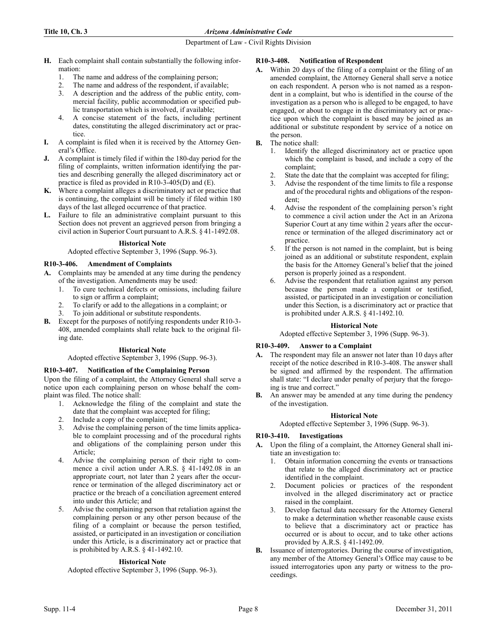# Title 10, Ch. 3 Arizona Administrative Code

# Department of Law - Civil Rights Division

- H. Each complaint shall contain substantially the following information:
	- 1. The name and address of the complaining person;
	- 2. The name and address of the respondent, if available;
	- 3. A description and the address of the public entity, commercial facility, public accommodation or specified public transportation which is involved, if available;
	- 4. A concise statement of the facts, including pertinent dates, constituting the alleged discriminatory act or practice.
- I. A complaint is filed when it is received by the Attorney General's Office.
- A complaint is timely filed if within the 180-day period for the filing of complaints, written information identifying the parties and describing generally the alleged discriminatory act or practice is filed as provided in R10-3-405(D) and (E).
- K. Where a complaint alleges a discriminatory act or practice that is continuing, the complaint will be timely if filed within 180 days of the last alleged occurrence of that practice.
- L. Failure to file an administrative complaint pursuant to this Section does not prevent an aggrieved person from bringing a civil action in Superior Court pursuant to A.R.S. § 41-1492.08.

# **Historical Note**

Adopted effective September 3, 1996 (Supp. 96-3).

# R10-3-406. Amendment of Complaints

- A. Complaints may be amended at any time during the pendency of the investigation. Amendments may be used:
	- 1. To cure technical defects or omissions, including failure to sign or affirm a complaint;
	- 2. To clarify or add to the allegations in a complaint; or
	- 3. To join additional or substitute respondents.
- B. Except for the purposes of notifying respondents under R10-3- 408, amended complaints shall relate back to the original filing date.

# **Historical Note**

### Adopted effective September 3, 1996 (Supp. 96-3).

# R10-3-407. Notification of the Complaining Person

Upon the filing of a complaint, the Attorney General shall serve a notice upon each complaining person on whose behalf the complaint was filed. The notice shall:

- 1. Acknowledge the filing of the complaint and state the date that the complaint was accepted for filing;
- 2. Include a copy of the complaint;
- 3. Advise the complaining person of the time limits applicable to complaint processing and of the procedural rights and obligations of the complaining person under this Article;
- 4. Advise the complaining person of their right to commence a civil action under A.R.S. § 41-1492.08 in an appropriate court, not later than 2 years after the occurrence or termination of the alleged discriminatory act or practice or the breach of a conciliation agreement entered into under this Article; and
- 5. Advise the complaining person that retaliation against the complaining person or any other person because of the filing of a complaint or because the person testified, assisted, or participated in an investigation or conciliation under this Article, is a discriminatory act or practice that is prohibited by A.R.S. § 41-1492.10.

# **Historical Note**

Adopted effective September 3, 1996 (Supp. 96-3).

# R10-3-408. Notification of Respondent

- A. Within 20 days of the filing of a complaint or the filing of an amended complaint, the Attorney General shall serve a notice on each respondent. A person who is not named as a respondent in a complaint, but who is identified in the course of the investigation as a person who is alleged to be engaged, to have engaged, or about to engage in the discriminatory act or practice upon which the complaint is based may be joined as an additional or substitute respondent by service of a notice on the person.
- B. The notice shall:
	- 1. Identify the alleged discriminatory act or practice upon which the complaint is based, and include a copy of the complaint;
	- 2. State the date that the complaint was accepted for filing;
	- 3. Advise the respondent of the time limits to file a response and of the procedural rights and obligations of the respondent;
	- 4. Advise the respondent of the complaining person's right to commence a civil action under the Act in an Arizona Superior Court at any time within 2 years after the occurrence or termination of the alleged discriminatory act or practice.
	- 5. If the person is not named in the complaint, but is being joined as an additional or substitute respondent, explain the basis for the Attorney General's belief that the joined person is properly joined as a respondent.
	- 6. Advise the respondent that retaliation against any person because the person made a complaint or testified, assisted, or participated in an investigation or conciliation under this Section, is a discriminatory act or practice that is prohibited under A.R.S. § 41-1492.10.

# **Historical Note**

Adopted effective September 3, 1996 (Supp. 96-3).

# R10-3-409. Answer to a Complaint

- A. The respondent may file an answer not later than 10 days after receipt of the notice described in R10-3-408. The answer shall be signed and affirmed by the respondent. The affirmation shall state: "I declare under penalty of perjury that the foregoing is true and correct."
- B. An answer may be amended at any time during the pendency of the investigation.

# **Historical Note**

Adopted effective September 3, 1996 (Supp. 96-3).

# R10-3-410. Investigations

- A. Upon the filing of a complaint, the Attorney General shall initiate an investigation to:
	- 1. Obtain information concerning the events or transactions that relate to the alleged discriminatory act or practice identified in the complaint.
	- 2. Document policies or practices of the respondent involved in the alleged discriminatory act or practice raised in the complaint.
	- 3. Develop factual data necessary for the Attorney General to make a determination whether reasonable cause exists to believe that a discriminatory act or practice has occurred or is about to occur, and to take other actions provided by A.R.S. § 41-1492.09.
- B. Issuance of interrogatories. During the course of investigation, any member of the Attorney General's Office may cause to be issued interrogatories upon any party or witness to the proceedings.